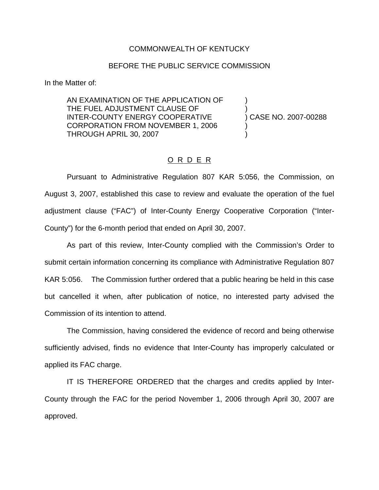## COMMONWEALTH OF KENTUCKY

## BEFORE THE PUBLIC SERVICE COMMISSION

In the Matter of:

AN EXAMINATION OF THE APPLICATION OF ) THE FUEL ADJUSTMENT CLAUSE OF INTER-COUNTY ENERGY COOPERATIVE ) CASE NO. 2007-00288 CORPORATION FROM NOVEMBER 1, 2006 ) THROUGH APRIL 30, 2007 )

## O R D E R

Pursuant to Administrative Regulation 807 KAR 5:056, the Commission, on August 3, 2007, established this case to review and evaluate the operation of the fuel adjustment clause ("FAC") of Inter-County Energy Cooperative Corporation ("Inter-County") for the 6-month period that ended on April 30, 2007.

As part of this review, Inter-County complied with the Commission's Order to submit certain information concerning its compliance with Administrative Regulation 807 KAR 5:056. The Commission further ordered that a public hearing be held in this case but cancelled it when, after publication of notice, no interested party advised the Commission of its intention to attend.

The Commission, having considered the evidence of record and being otherwise sufficiently advised, finds no evidence that Inter-County has improperly calculated or applied its FAC charge.

IT IS THEREFORE ORDERED that the charges and credits applied by Inter-County through the FAC for the period November 1, 2006 through April 30, 2007 are approved.